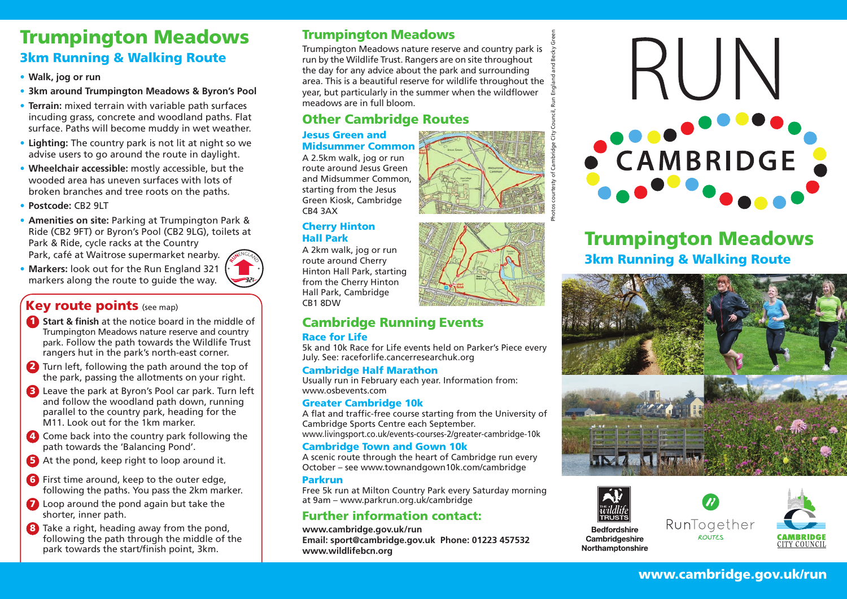## Trumpington Meadows 3km Running & Walking Route

- **Walk, jog or run**
- **3km around Trumpington Meadows & Byron's Pool**
- **Terrain:** mixed terrain with variable path surfaces incuding grass, concrete and woodland paths. Flat surface. Paths will become muddy in wet weather.
- **Lighting:** The country park is not lit at night so we advise users to go around the route in daylight.
- **Wheelchair accessible:** mostly accessible, but the wooded area has uneven surfaces with lots of broken branches and tree roots on the paths.
- **Postcode:** CB2 9LT
- **Amenities on site:** Parking at Trumpington Park & Ride (CB2 9FT) or Byron's Pool (CB2 9LG), toilets at Park & Ride, cycle racks at the Country Park, café at Waitrose supermarket nearby.
- **Markers:** look out for the Run England 321 markers along the route to guide the way.

### **Key route points** (see map)

- **1** Start & finish at the notice board in the middle of Trumpington Meadows nature reserve and country park. Follow the path towards the Wildlife Trust rangers hut in the park's north-east corner.
- 2 Turn left, following the path around the top of the park, passing the allotments on your right.
- **3** Leave the park at Byron's Pool car park. Turn left and follow the woodland path down, running parallel to the country park, heading for the M11. Look out for the 1km marker.
- 4 Come back into the country park following the path towards the 'Balancing Pond'.
- 5 At the pond, keep right to loop around it.
- **6** First time around, keep to the outer edge, following the paths. You pass the 2km marker.
- **7** Loop around the pond again but take the shorter, inner path.
- 8 Take a right, heading away from the pond, following the path through the middle of the park towards the start/finish point, 3km.

### Trumpington Meadows

Trumpington Meadows nature reserve and country park is run by the Wildlife Trust. Rangers are on site throughout the day for any advice about the park and surrounding area. This is a beautiful reserve for wildlife throughout the year, but particularly in the summer when the wildflower meadows are in full bloom.

### Other Cambridge Routes

#### Jesus Green and Midsummer Common

A 2.5km walk, jog or run route around Jesus Green and Midsummer Common, starting from the Jesus Green Kiosk, Cambridge CB4 3AX

#### Cherry Hinton Hall Park

A 2km walk, jog or run route around Cherry Hinton Hall Park, starting from the Cherry Hinton Hall Park, Cambridge CB1 8DW

## Cambridge Running Events

#### Race for Life

5k and 10k Race for Life events held on Parker's Piece every July. See: raceforlife.cancerresearchuk.org

#### Cambridge Half Marathon

Usually run in February each year. Information from: www.osbevents.com

#### Greater Cambridge 10k

A flat and traffic-free course starting from the University of Cambridge Sports Centre each September.

www.livingsport.co.uk/events-courses-2/greater-cambridge-10k

#### Cambridge Town and Gown 10k

A scenic route through the heart of Cambridge run every October – see www.townandgown10k.com/cambridge

#### Parkrun

Free 5k run at Milton Country Park every Saturday morning at 9am – www.parkrun.org.uk/cambridge

### Further information contact:

**www.cambridge.gov.uk/run Email: sport@cambridge.gov.uk Phone: 01223 457532 www.wildlifebcn.org**



## Trumpington Meadows 3km Running & Walking Route







### www.cambridge.gov.uk/run





Photos courtesty of Cambridge City Council, Run England and Becky Green